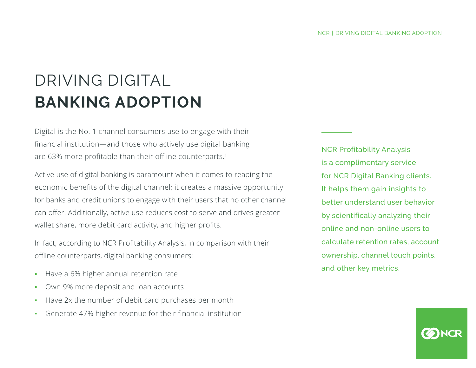# DRIVING DIGITAL **BANKING ADOPTION**

Digital is the No. 1 channel consumers use to engage with their financial institution—and those who actively use digital banking are 63% more profitable than their offline counterparts.<sup>1</sup>

Active use of digital banking is paramount when it comes to reaping the economic benefits of the digital channel; it creates a massive opportunity for banks and credit unions to engage with their users that no other channel can offer. Additionally, active use reduces cost to serve and drives greater wallet share, more debit card activity, and higher profits.

In fact, according to NCR Profitability Analysis, in comparison with their offline counterparts, digital banking consumers:

- Have a 6% higher annual retention rate
- Own 9% more deposit and loan accounts
- Have 2x the number of debit card purchases per month
- Generate 47% higher revenue for their financial institution

NCR Profitability Analysis is a complimentary service for NCR Digital Banking clients. It helps them gain insights to better understand user behavior by scientifically analyzing their online and non-online users to calculate retention rates, account ownership, channel touch points, and other key metrics.

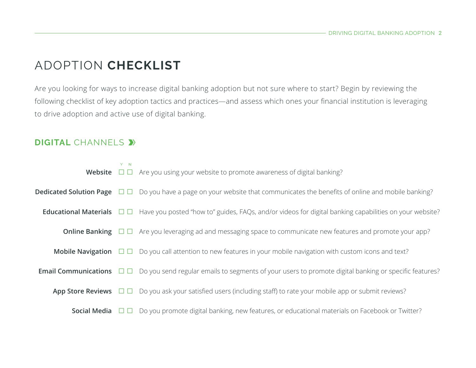## ADOPTION **CHECKLIST**

Are you looking for ways to increase digital banking adoption but not sure where to start? Begin by reviewing the following checklist of key adoption tactics and practices—and assess which ones your financial institution is leveraging to drive adoption and active use of digital banking.

#### **DIGITAL** CHANNELS  $\blacktriangleright$

|              | $Y - N$ | <b>Website</b> $\Box$ $\Box$ Are you using your website to promote awareness of digital banking?                                                |
|--------------|---------|-------------------------------------------------------------------------------------------------------------------------------------------------|
|              |         | <b>Dedicated Solution Page</b> $\Box$ $\Box$ Do you have a page on your website that communicates the benefits of online and mobile banking?    |
|              |         | <b>Educational Materials</b> $\Box$ Have you posted "how to" guides, FAQs, and/or videos for digital banking capabilities on your website?      |
|              |         | <b>Online Banking</b> $\Box$ $\Box$ Are you leveraging ad and messaging space to communicate new features and promote your app?                 |
|              |         | <b>Mobile Navigation</b> $\Box$ $\Box$ Do you call attention to new features in your mobile navigation with custom icons and text?              |
|              |         | <b>Email Communications</b> $\Box$ $\Box$ Do you send regular emails to segments of your users to promote digital banking or specific features? |
|              |         | App Store Reviews $\Box$ $\Box$ Do you ask your satisfied users (including staff) to rate your mobile app or submit reviews?                    |
| Social Media |         | $\Box$ Do you promote digital banking, new features, or educational materials on Facebook or Twitter?                                           |